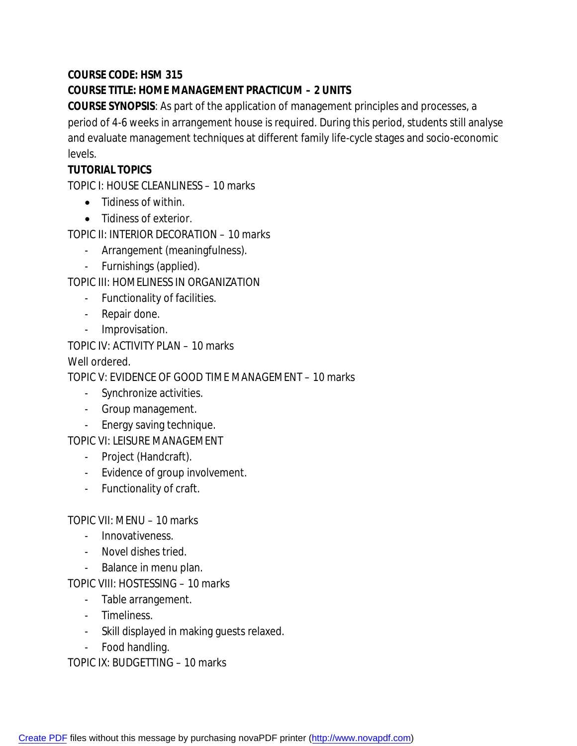# **COURSE CODE: HSM 315**

# **COURSE TITLE: HOME MANAGEMENT PRACTICUM – 2 UNITS**

**COURSE SYNOPSIS**: As part of the application of management principles and processes, a period of 4-6 weeks in arrangement house is required. During this period, students still analyse and evaluate management techniques at different family life-cycle stages and socio-economic levels.

# **TUTORIAL TOPICS**

TOPIC I: HOUSE CLEANLINESS – 10 marks

- Tidiness of within.
- Tidiness of exterior.

TOPIC II: INTERIOR DECORATION – 10 marks

- Arrangement (meaningfulness).
- Furnishings (applied).

TOPIC III: HOMELINESS IN ORGANIZATION

- Functionality of facilities.
- Repair done.
- Improvisation.

TOPIC IV: ACTIVITY PLAN – 10 marks

Well ordered.

TOPIC V: EVIDENCE OF GOOD TIME MANAGEMENT – 10 marks

- Synchronize activities.
- Group management.
- Energy saving technique.

TOPIC VI: LEISURE MANAGEMENT

- Project (Handcraft).
- Evidence of group involvement.
- Functionality of craft.

TOPIC VII: MENU – 10 marks

- Innovativeness.
- Novel dishes tried.
- Balance in menu plan.

TOPIC VIII: HOSTESSING – 10 marks

- Table arrangement.
- Timeliness.
- Skill displayed in making guests relaxed.
- Food handling.

TOPIC IX: BUDGETTING – 10 marks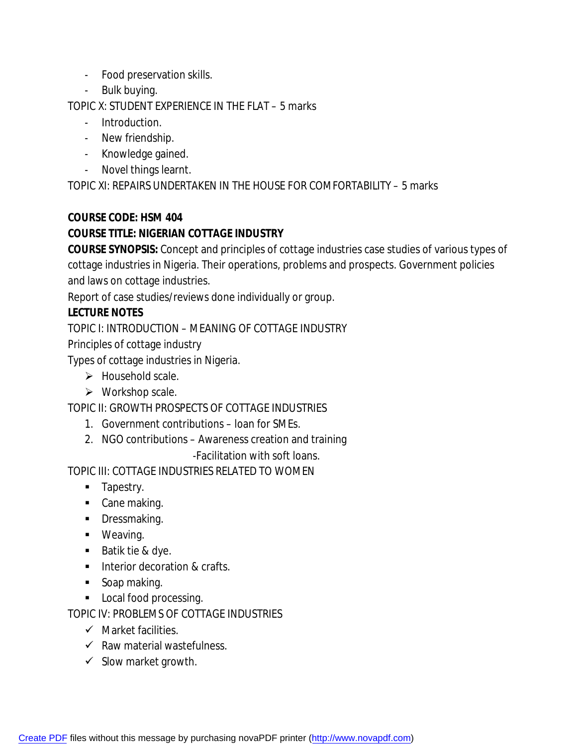- Food preservation skills.
- Bulk buying.

TOPIC X: STUDENT EXPERIENCE IN THE FLAT – 5 marks

- Introduction.
- New friendship.
- Knowledge gained.
- Novel things learnt.

TOPIC XI: REPAIRS UNDERTAKEN IN THE HOUSE FOR COMFORTABILITY – 5 marks

### **COURSE CODE: HSM 404**

# **COURSE TITLE: NIGERIAN COTTAGE INDUSTRY**

**COURSE SYNOPSIS:** Concept and principles of cottage industries case studies of various types of cottage industries in Nigeria. Their operations, problems and prospects. Government policies and laws on cottage industries.

Report of case studies/reviews done individually or group.

# **LECTURE NOTES**

TOPIC I: INTRODUCTION – MEANING OF COTTAGE INDUSTRY

Principles of cottage industry

Types of cottage industries in Nigeria.

- $\triangleright$  Household scale.
- $\triangleright$  Workshop scale.

TOPIC II: GROWTH PROSPECTS OF COTTAGE INDUSTRIES

- 1. Government contributions loan for SMEs.
- 2. NGO contributions Awareness creation and training

-Facilitation with soft loans.

TOPIC III: COTTAGE INDUSTRIES RELATED TO WOMEN

- **Tapestry.**
- Cane making.
- **•** Dressmaking.
- **•** Weaving.
- Batik tie & dye.
- **Interior decoration & crafts.**
- Soap making.
- **Local food processing.**

TOPIC IV: PROBLEMS OF COTTAGE INDUSTRIES

- $\checkmark$  Market facilities.
- $\checkmark$  Raw material wastefulness.
- $\checkmark$  Slow market growth.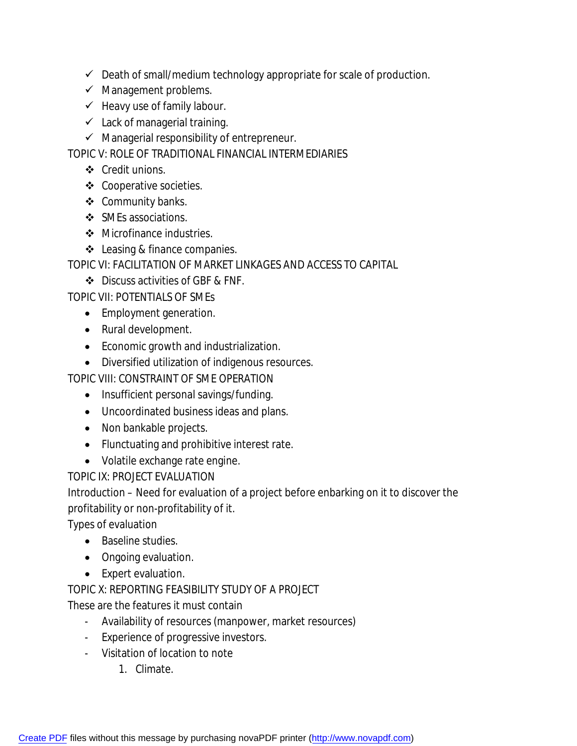- $\checkmark$  Death of small/medium technology appropriate for scale of production.
- $\checkmark$  Management problems.
- $\checkmark$  Heavy use of family labour.
- $\checkmark$  Lack of managerial training.
- $\checkmark$  Managerial responsibility of entrepreneur.

TOPIC V: ROLE OF TRADITIONAL FINANCIAL INTERMEDIARIES

- Credit unions.
- ❖ Cooperative societies.
- ❖ Community banks.
- ❖ SMEs associations.
- Microfinance industries.
- ❖ Leasing & finance companies.

TOPIC VI: FACILITATION OF MARKET LINKAGES AND ACCESS TO CAPITAL

Discuss activities of GBF & FNF.

TOPIC VII: POTENTIALS OF SMEs

- Employment generation.
- Rural development.
- Economic growth and industrialization.
- Diversified utilization of indigenous resources.

TOPIC VIII: CONSTRAINT OF SME OPERATION

- Insufficient personal savings/funding.
- Uncoordinated business ideas and plans.
- Non bankable projects.
- Flunctuating and prohibitive interest rate.
- Volatile exchange rate engine.

TOPIC IX: PROJECT EVALUATION

Introduction – Need for evaluation of a project before enbarking on it to discover the profitability or non-profitability of it.

Types of evaluation

- Baseline studies.
- Ongoing evaluation.
- Expert evaluation.

TOPIC X: REPORTING FEASIBILITY STUDY OF A PROJECT

These are the features it must contain

- Availability of resources (manpower, market resources)
- Experience of progressive investors.
- Visitation of location to note
	- 1. Climate.